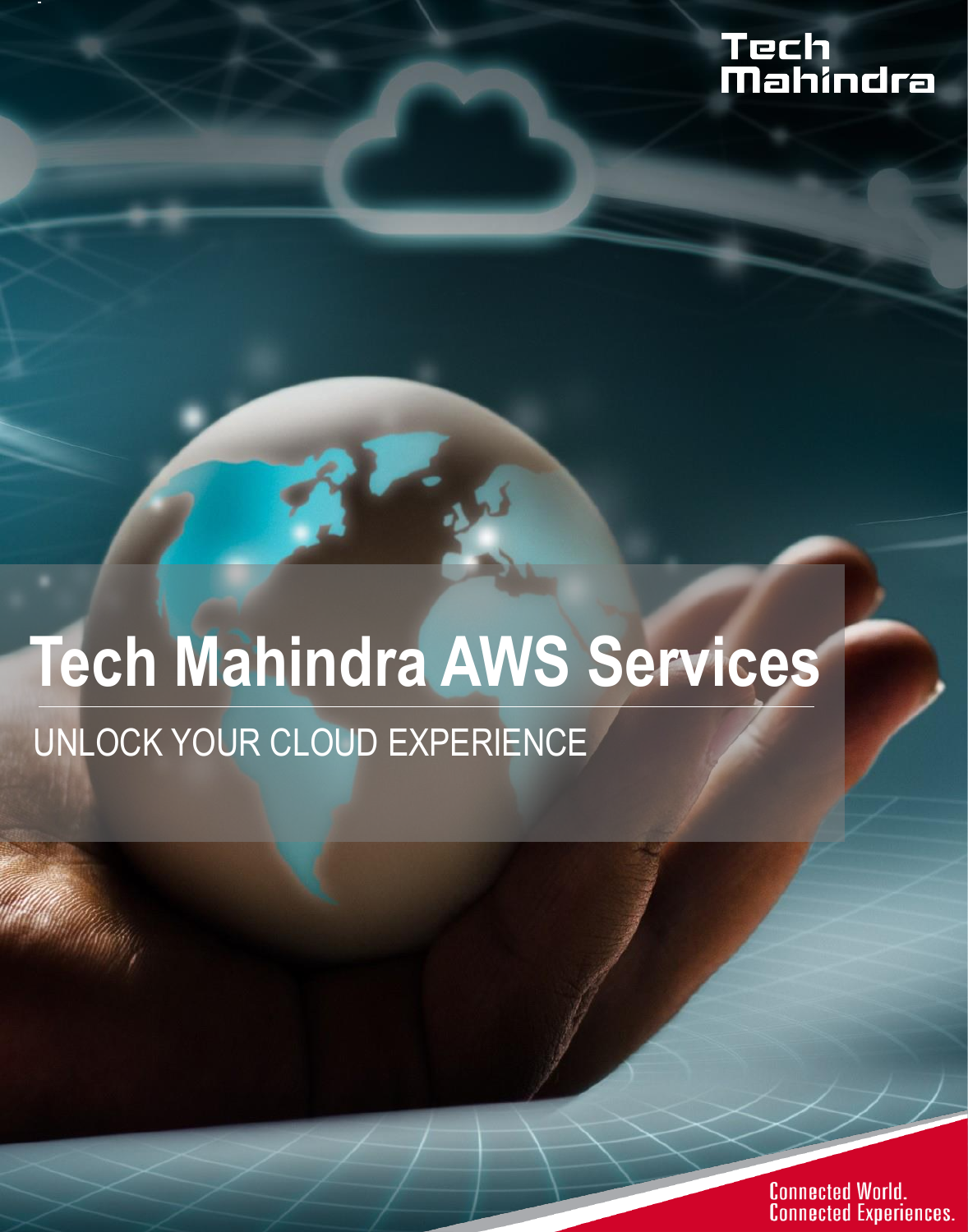# Tech<br>Mahindra

## **Tech Mahindra AWS Services** UNLOCK YOUR CLOUD EXPERIENCE

**Connected World. Connected Experiences.**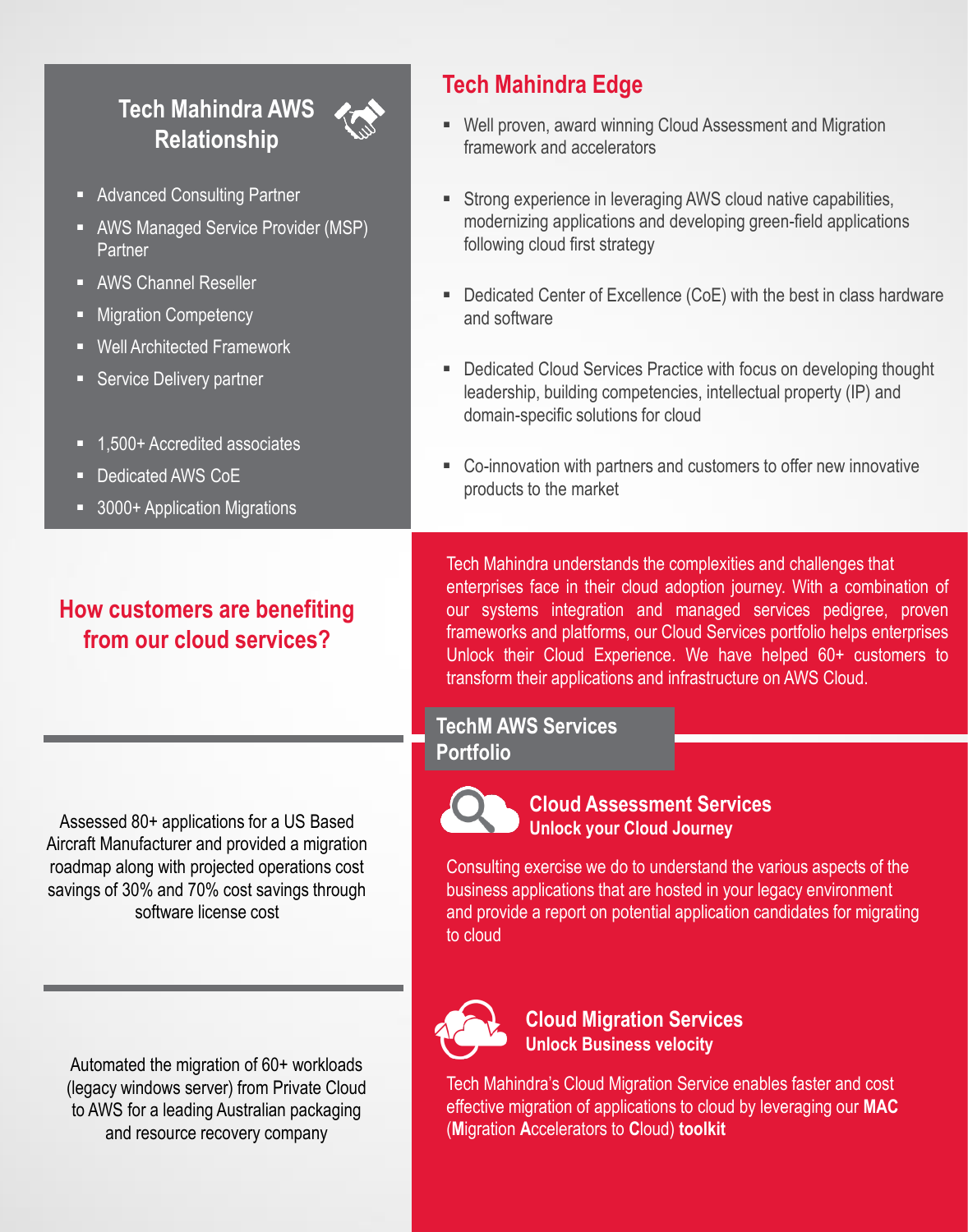## **Tech Mahindra AWS Relationship**

- **Advanced Consulting Partner**
- **AWS Managed Service Provider (MSP)** Partner
- **AWS Channel Reseller**
- Migration Competency
- Well Architected Framework
- **Service Delivery partner**
- 1.500+ Accredited associates
- Dedicated AWS CoE
- 3000+ Application Migrations

## **How customers are benefiting from our cloud services?**

Assessed 80+ applications for a US Based Aircraft Manufacturer and provided a migration roadmap along with projected operations cost savings of 30% and 70% cost savings through software license cost

Automated the migration of 60+ workloads (legacy windows server) from Private Cloud to AWS for a leading Australian packaging and resource recovery company

## **Tech Mahindra Edge**

- Well proven, award winning Cloud Assessment and Migration framework and accelerators
- **Strong experience in leveraging AWS cloud native capabilities,** modernizing applications and developing green-field applications following cloud first strategy
- Dedicated Center of Excellence (CoE) with the best in class hardware and software
- Dedicated Cloud Services Practice with focus on developing thought leadership, building competencies, intellectual property (IP) and domain-specific solutions for cloud
- Co-innovation with partners and customers to offer new innovative products to the market

Tech Mahindra understands the complexities and challenges that enterprises face in their cloud adoption journey. With a combination of our systems integration and managed services pedigree, proven frameworks and platforms, our Cloud Services portfolio helps enterprises Unlock their Cloud Experience. We have helped 60+ customers to transform their applications and infrastructure on AWS Cloud.

#### **TechM AWS Services Portfolio**



#### **Cloud Assessment Services Unlock your Cloud Journey**

Consulting exercise we do to understand the various aspects of the business applications that are hosted in your legacy environment and provide a report on potential application candidates for migrating to cloud



**Cloud Migration Services Unlock Business velocity**

Tech Mahindra's Cloud Migration Service enables faster and cost effective migration of applications to cloud by leveraging our **MAC** (**M**igration **A**ccelerators to **C**loud) **toolkit**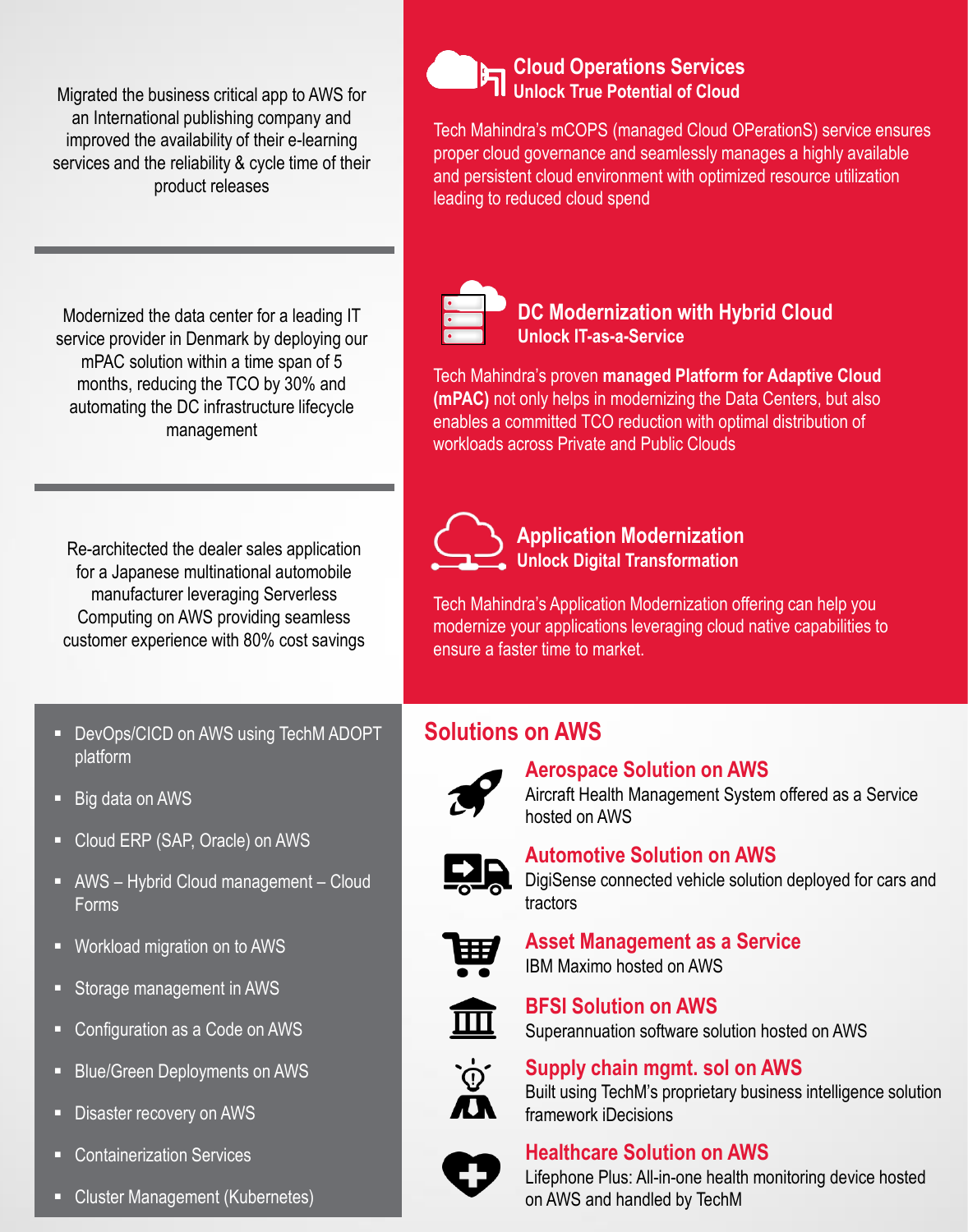Migrated the business critical app to AWS for an International publishing company and improved the availability of their e-learning services and the reliability & cycle time of their product releases

Modernized the data center for a leading IT service provider in Denmark by deploying our mPAC solution within a time span of 5 months, reducing the TCO by 30% and automating the DC infrastructure lifecycle management

Re-architected the dealer sales application for a Japanese multinational automobile manufacturer leveraging Serverless Computing on AWS providing seamless customer experience with 80% cost savings

- **DevOps/CICD on AWS using TechM ADOPT** platform
- Big data on AWS
- Cloud ERP (SAP, Oracle) on AWS
- AWS Hybrid Cloud management Cloud **Forms**
- Workload migration on to AWS
- Storage management in AWS
- Configuration as a Code on AWS
- Blue/Green Deployments on AWS
- **Disaster recovery on AWS**
- **EXECONTER CONTENT** Containerization Services
- **E** Cluster Management (Kubernetes)



Tech Mahindra's mCOPS (managed Cloud OPerationS) service ensures proper cloud governance and seamlessly manages a highly available and persistent cloud environment with optimized resource utilization leading to reduced cloud spend



**DC Modernization with Hybrid Cloud Unlock IT-as-a-Service**

Tech Mahindra's proven **managed Platform for Adaptive Cloud (mPAC)** not only helps in modernizing the Data Centers, but also enables a committed TCO reduction with optimal distribution of workloads across Private and Public Clouds



**Application Modernization Unlock Digital Transformation**

Tech Mahindra's Application Modernization offering can help you modernize your applications leveraging cloud native capabilities to ensure a faster time to market.

## **Solutions on AWS**



### **Aerospace Solution on AWS**

Aircraft Health Management System offered as a Service hosted on AWS



#### **Automotive Solution on AWS**

DigiSense connected vehicle solution deployed for cars and tractors



**Asset Management as a Service** IBM Maximo hosted on AWS



**BFSI Solution on AWS** Superannuation software solution hosted on AWS



### **Supply chain mgmt. sol on AWS**

Built using TechM's proprietary business intelligence solution framework iDecisions



## **Healthcare Solution on AWS**



Lifephone Plus: All-in-one health monitoring device hosted on AWS and handled by TechM